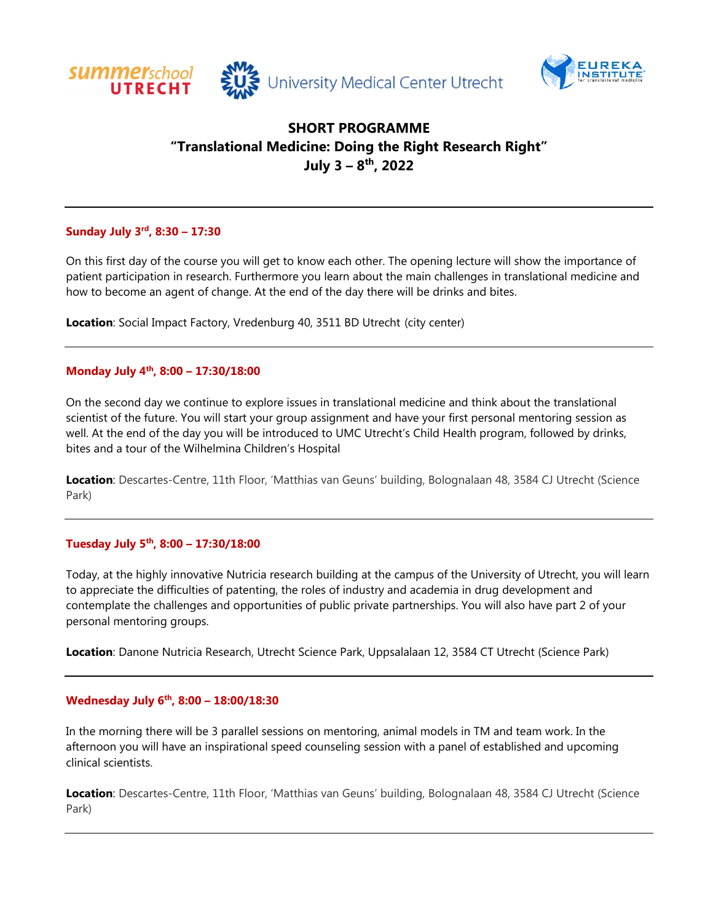



# **SHORT PROGRAMME "Translational Medicine: Doing the Right Research Right" July 3 – 8th, 2022**

# **Sunday July 3rd, 8:30 – 17:30**

On this first day of the course you will get to know each other. The opening lecture will show the importance of patient participation in research. Furthermore you learn about the main challenges in translational medicine and how to become an agent of change. At the end of the day there will be drinks and bites.

**Location**: Social Impact Factory, Vredenburg 40, 3511 BD Utrecht (city center)

# **Monday July 4th, 8:00 – 17:30/18:00**

On the second day we continue to explore issues in translational medicine and think about the translational scientist of the future. You will start your group assignment and have your first personal mentoring session as well. At the end of the day you will be introduced to UMC Utrecht's Child Health program, followed by drinks, bites and a tour of the Wilhelmina Children's Hospital

**Location**: Descartes-Centre, 11th Floor, 'Matthias van Geuns' building, Bolognalaan 48, 3584 CJ Utrecht (Science Park)

#### **Tuesday July 5th, 8:00 – 17:30/18:00**

Today, at the highly innovative Nutricia research building at the campus of the University of Utrecht, you will learn to appreciate the difficulties of patenting, the roles of industry and academia in drug development and contemplate the challenges and opportunities of public private partnerships. You will also have part 2 of your personal mentoring groups.

**Location**: Danone Nutricia Research, Utrecht Science Park, Uppsalalaan 12, 3584 CT Utrecht (Science Park)

# **Wednesday July 6th, 8:00 – 18:00/18:30**

In the morning there will be 3 parallel sessions on mentoring, animal models in TM and team work. In the afternoon you will have an inspirational speed counseling session with a panel of established and upcoming clinical scientists.

**Location**: Descartes-Centre, 11th Floor, 'Matthias van Geuns' building, Bolognalaan 48, 3584 CJ Utrecht (Science Park)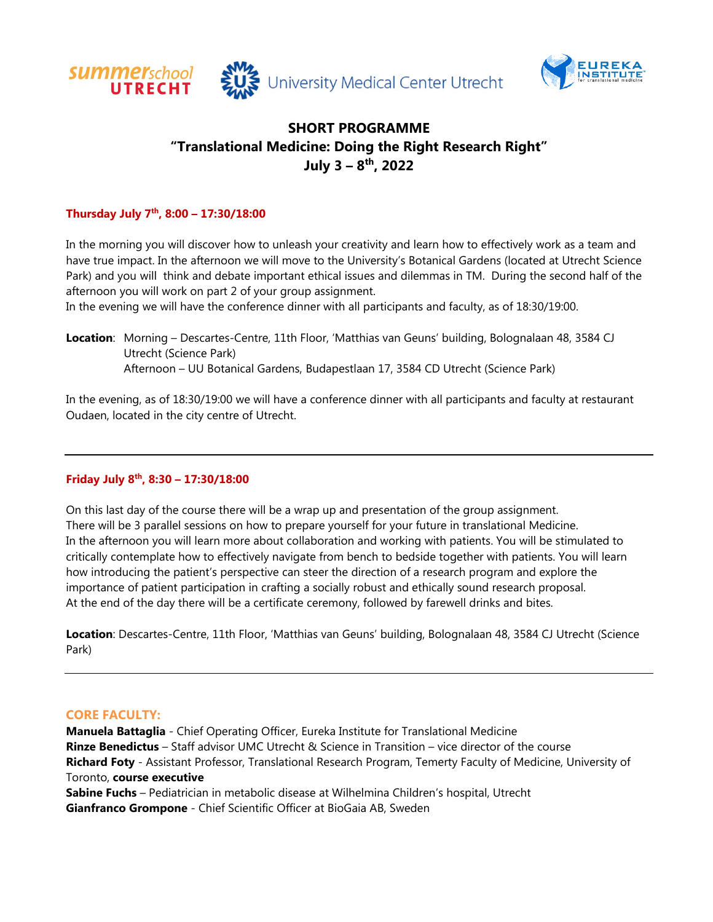



# **SHORT PROGRAMME "Translational Medicine: Doing the Right Research Right" July 3 – 8th, 2022**

# **Thursday July 7th, 8:00 – 17:30/18:00**

In the morning you will discover how to unleash your creativity and learn how to effectively work as a team and have true impact. In the afternoon we will move to the University's Botanical Gardens (located at Utrecht Science Park) and you will think and debate important ethical issues and dilemmas in TM. During the second half of the afternoon you will work on part 2 of your group assignment.

In the evening we will have the conference dinner with all participants and faculty, as of 18:30/19:00.

**Location**: Morning – Descartes-Centre, 11th Floor, 'Matthias van Geuns' building, Bolognalaan 48, 3584 CJ Utrecht (Science Park) Afternoon – UU Botanical Gardens, Budapestlaan 17, 3584 CD Utrecht (Science Park)

In the evening, as of 18:30/19:00 we will have a conference dinner with all participants and faculty at restaurant Oudaen, located in the city centre of Utrecht.

# **Friday July 8th, 8:30 – 17:30/18:00**

On this last day of the course there will be a wrap up and presentation of the group assignment. There will be 3 parallel sessions on how to prepare yourself for your future in translational Medicine. In the afternoon you will learn more about collaboration and working with patients. You will be stimulated to critically contemplate how to effectively navigate from bench to bedside together with patients. You will learn how introducing the patient's perspective can steer the direction of a research program and explore the importance of patient participation in crafting a socially robust and ethically sound research proposal. At the end of the day there will be a certificate ceremony, followed by farewell drinks and bites.

**Location**: Descartes-Centre, 11th Floor, 'Matthias van Geuns' building, Bolognalaan 48, 3584 CJ Utrecht (Science Park)

# **CORE FACULTY:**

**Manuela Battaglia** - Chief Operating Officer, Eureka Institute for Translational Medicine **Rinze Benedictus** – Staff advisor UMC Utrecht & Science in Transition – vice director of the course **Richard Foty** - Assistant Professor, Translational Research Program, Temerty Faculty of Medicine, University of Toronto, **course executive**

**Sabine Fuchs** – Pediatrician in metabolic disease at Wilhelmina Children's hospital, Utrecht **Gianfranco Grompone** - Chief Scientific Officer at BioGaia AB, Sweden